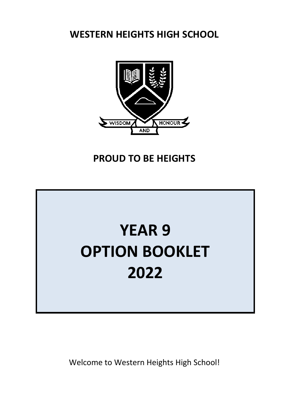**WESTERN HEIGHTS HIGH SCHOOL**



# **PROUD TO BE HEIGHTS**

# **YEAR 9 OPTION BOOKLET 2022**

Welcome to Western Heights High School!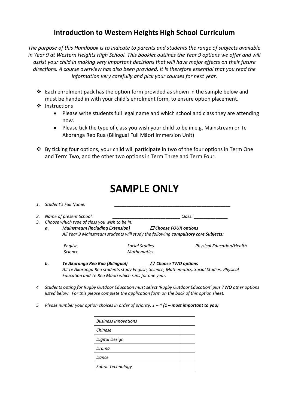## **Introduction to Western Heights High School Curriculum**

*The purpose of this Handbook is to indicate to parents and students the range of subjects available in Year 9 at Western Heights High School. This booklet outlines the Year 9 options we offer and will assist your child in making very important decisions that will have major effects on their future directions. A course overview has also been provided. It is therefore essential that you read the information very carefully and pick your courses for next year.*

- $\cdot$  Each enrolment pack has the option form provided as shown in the sample below and must be handed in with your child's enrolment form, to ensure option placement.
- ❖ Instructions
	- Please write students full legal name and which school and class they are attending now.
	- Please tick the type of class you wish your child to be in e.g. Mainstream or Te Akoranga Reo Rua (Bilingual Full Māori Immersion Unit)
- By ticking four options, your child will participate in two of the four options in Term One and Term Two, and the other two options in Term Three and Term Four.

| <b>SAMPLE ONLY</b> |  |
|--------------------|--|
|--------------------|--|

|                |                                                                                   | 1. Student's Full Name:                                                                    |                    |                                                                                                     |  |  |
|----------------|-----------------------------------------------------------------------------------|--------------------------------------------------------------------------------------------|--------------------|-----------------------------------------------------------------------------------------------------|--|--|
| 2.             |                                                                                   | Name of present School:                                                                    |                    | Class:                                                                                              |  |  |
| 3.             |                                                                                   | Choose which type of class you wish to be in:                                              |                    |                                                                                                     |  |  |
|                | а.                                                                                | <b>Mainstream (including Extension)</b>                                                    |                    | <b>Choose FOUR options</b>                                                                          |  |  |
|                | All Year 9 Mainstream students will study the following compulsory core Subjects: |                                                                                            |                    |                                                                                                     |  |  |
|                |                                                                                   | English                                                                                    | Social Studies     | <b>Physical Education/Health</b>                                                                    |  |  |
|                |                                                                                   | Science                                                                                    | <b>Mathematics</b> |                                                                                                     |  |  |
|                | b.                                                                                | Te Akoranga Reo Rua (Bilingual)                                                            |                    | $\Box$ Choose TWO options                                                                           |  |  |
|                |                                                                                   | All Te Akoranga Reo students study English, Science, Mathematics, Social Studies, Physical |                    |                                                                                                     |  |  |
|                |                                                                                   | Education and Te Reo Māori which runs for one year.                                        |                    |                                                                                                     |  |  |
| $\overline{ }$ |                                                                                   |                                                                                            |                    | Ctudents opting for Rugby Outdoor Education must select 'Bugby Outdoor Education' plus TIMO other o |  |  |

- *4 Students opting for Rugby Outdoor Education must select 'Rugby Outdoor Education' plus TWO other options listed below. For this please complete the application form on the back of this option sheet.*
- *5* Please number your option choices in order of priority,  $1 4$  (1 most important to you)

| <b>Business Innovations</b> |  |
|-----------------------------|--|
| Chinese                     |  |
| Digital Design              |  |
| Drama                       |  |
| Dance                       |  |
| <b>Fabric Technology</b>    |  |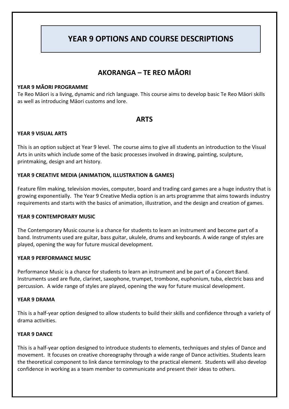## **YEAR 9 OPTIONS AND COURSE DESCRIPTIONS**

## **AKORANGA – TE REO MĀORI**

#### **YEAR 9 MĀORI PROGRAMME**

Te Reo Māori is a living, dynamic and rich language. This course aims to develop basic Te Reo Māori skills as well as introducing Māori customs and lore.

### **ARTS**

#### **YEAR 9 VISUAL ARTS**

This is an option subject at Year 9 level. The course aims to give all students an introduction to the Visual Arts in units which include some of the basic processes involved in drawing, painting, sculpture, printmaking, design and art history.

#### **YEAR 9 CREATIVE MEDIA (ANIMATION, ILLUSTRATION & GAMES)**

Feature film making, television movies, computer, board and trading card games are a huge industry that is growing exponentially. The Year 9 Creative Media option is an arts programme that aims towards industry requirements and starts with the basics of animation, illustration, and the design and creation of games.

#### **YEAR 9 CONTEMPORARY MUSIC**

The Contemporary Music course is a chance for students to learn an instrument and become part of a band. Instruments used are guitar, bass guitar, ukulele, drums and keyboards. A wide range of styles are played, opening the way for future musical development.

#### **YEAR 9 PERFORMANCE MUSIC**

Performance Music is a chance for students to learn an instrument and be part of a Concert Band. Instruments used are flute, clarinet, saxophone, trumpet, trombone, euphonium, tuba, electric bass and percussion. A wide range of styles are played, opening the way for future musical development.

#### **YEAR 9 DRAMA**

This is a half-year option designed to allow students to build their skills and confidence through a variety of drama activities.

#### **YEAR 9 DANCE**

This is a half-year option designed to introduce students to elements, techniques and styles of Dance and movement. It focuses on creative choreography through a wide range of Dance activities. Students learn the theoretical component to link dance terminology to the practical element. Students will also develop confidence in working as a team member to communicate and present their ideas to others.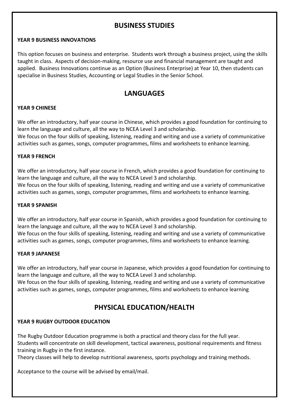## **BUSINESS STUDIES**

#### **YEAR 9 BUSINESS INNOVATIONS**

This option focuses on business and enterprise. Students work through a business project, using the skills taught in class. Aspects of decision-making, resource use and financial management are taught and applied. Business Innovations continue as an Option (Business Enterprise) at Year 10, then students can specialise in Business Studies, Accounting or Legal Studies in the Senior School.

## **LANGUAGES**

#### **YEAR 9 CHINESE**

We offer an introductory, half year course in Chinese, which provides a good foundation for continuing to learn the language and culture, all the way to NCEA Level 3 and scholarship.

We focus on the four skills of speaking, listening, reading and writing and use a variety of communicative activities such as games, songs, computer programmes, films and worksheets to enhance learning.

#### **YEAR 9 FRENCH**

We offer an introductory, half year course in French, which provides a good foundation for continuing to learn the language and culture, all the way to NCEA Level 3 and scholarship.

We focus on the four skills of speaking, listening, reading and writing and use a variety of communicative activities such as games, songs, computer programmes, films and worksheets to enhance learning.

#### **YEAR 9 SPANISH**

We offer an introductory, half year course in Spanish, which provides a good foundation for continuing to learn the language and culture, all the way to NCEA Level 3 and scholarship. We focus on the four skills of speaking, listening, reading and writing and use a variety of communicative activities such as games, songs, computer programmes, films and worksheets to enhance learning.

#### **YEAR 9 JAPANESE**

We offer an introductory, half year course in Japanese, which provides a good foundation for continuing to learn the language and culture, all the way to NCEA Level 3 and scholarship.

We focus on the four skills of speaking, listening, reading and writing and use a variety of communicative activities such as games, songs, computer programmes, films and worksheets to enhance learning

## **PHYSICAL EDUCATION/HEALTH**

#### **YEAR 9 RUGBY OUTDOOR EDUCATION**

The Rugby Outdoor Education programme is both a practical and theory class for the full year. Students will concentrate on skill development, tactical awareness, positional requirements and fitness training in Rugby in the first instance.

Theory classes will help to develop nutritional awareness, sports psychology and training methods.

Acceptance to the course will be advised by email/mail.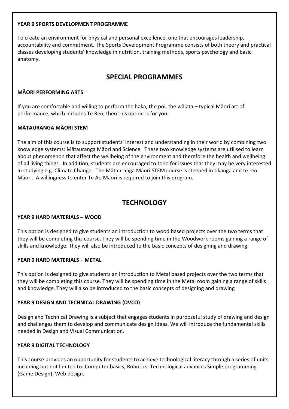#### **YEAR 9 SPORTS DEVELOPMENT PROGRAMME**

To create an environment for physical and personal excellence, one that encourages leadership, accountability and commitment. The Sports Development Programme consists of both theory and practical classes developing students' knowledge in nutrition, training methods, sports psychology and basic anatomy.

## **SPECIAL PROGRAMMES**

#### **MĀORI PERFORMING ARTS**

If you are comfortable and willing to perform the haka, the poi, the wāiata – typical Māori art of performance, which includes Te Reo, then this option is for you.

#### **MĀTAURANGA MĀORI STEM**

The aim of this course is to support students' interest and understanding in their world by combining two knowledge systems: Mātauranga Māori and Science. These two knowledge systems are utilised to learn about phenomenon that affect the wellbeing of the environment and therefore the health and wellbeing of all living things. In addition, students are encouraged to tono for issues that they may be very interested in studying e.g. Climate Change. The Mātauranga Māori STEM course is steeped in tikanga and te reo Māori. A willingness to enter Te Ao Māori is required to join this program.

## **TECHNOLOGY**

#### **YEAR 9 HARD MATERIALS – WOOD**

This option is designed to give students an introduction to wood based projects over the two terms that they will be completing this course. They will be spending time in the Woodwork rooms gaining a range of skills and knowledge. They will also be introduced to the basic concepts of designing and drawing.

#### **YEAR 9 HARD MATERIALS – METAL**

This option is designed to give students an introduction to Metal based projects over the two terms that they will be completing this course. They will be spending time in the Metal room gaining a range of skills and knowledge. They will also be introduced to the basic concepts of designing and drawing

#### **YEAR 9 DESIGN AND TECHNICAL DRAWING (DVCO)**

Design and Technical Drawing is a subject that engages students in purposeful study of drawing and design and challenges them to develop and communicate design ideas. We will introduce the fundamental skills needed in Design and Visual Communication.

#### **YEAR 9 DIGITAL TECHNOLOGY**

This course provides an opportunity for students to achieve technological literacy through a series of units including but not limited to: Computer basics, Robotics, Technological advances Simple programming (Game Design), Web design.